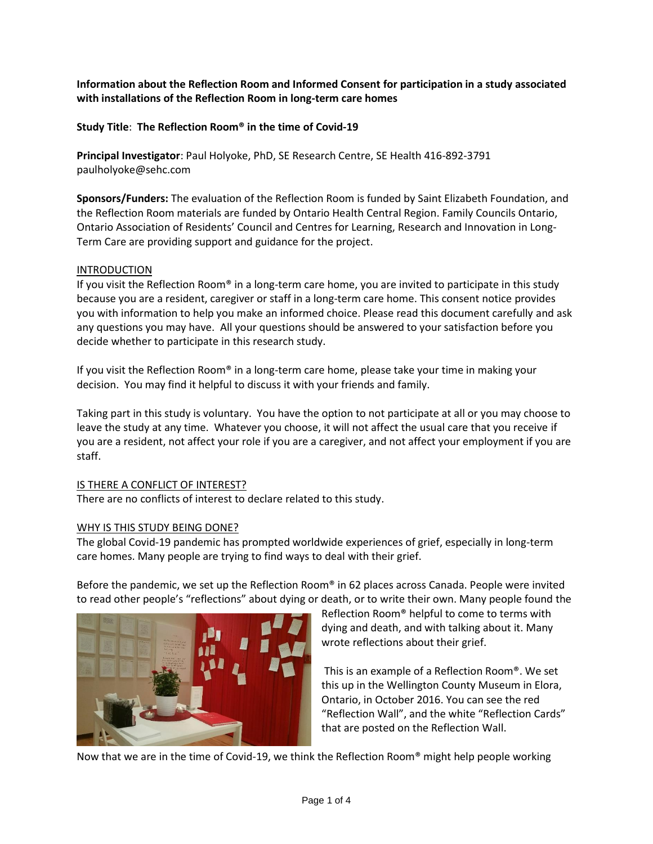**Information about the Reflection Room and Informed Consent for participation in a study associated with installations of the Reflection Room in long-term care homes**

## **Study Title**:**The Reflection Room® in the time of Covid-19**

**Principal Investigator**: Paul Holyoke, PhD, SE Research Centre, SE Health 416-892-3791 paulholyoke@sehc.com

**Sponsors/Funders:** The evaluation of the Reflection Room is funded by Saint Elizabeth Foundation, and the Reflection Room materials are funded by Ontario Health Central Region. Family Councils Ontario, Ontario Association of Residents' Council and Centres for Learning, Research and Innovation in Long-Term Care are providing support and guidance for the project.

#### INTRODUCTION

If you visit the Reflection Room® in a long-term care home, you are invited to participate in this study because you are a resident, caregiver or staff in a long-term care home. This consent notice provides you with information to help you make an informed choice. Please read this document carefully and ask any questions you may have. All your questions should be answered to your satisfaction before you decide whether to participate in this research study.

If you visit the Reflection Room<sup>®</sup> in a long-term care home, please take your time in making your decision. You may find it helpful to discuss it with your friends and family.

Taking part in this study is voluntary. You have the option to not participate at all or you may choose to leave the study at any time. Whatever you choose, it will not affect the usual care that you receive if you are a resident, not affect your role if you are a caregiver, and not affect your employment if you are staff.

#### IS THERE A CONFLICT OF INTEREST?

There are no conflicts of interest to declare related to this study.

#### WHY IS THIS STUDY BEING DONE?

The global Covid-19 pandemic has prompted worldwide experiences of grief, especially in long-term care homes. Many people are trying to find ways to deal with their grief.

Before the pandemic, we set up the Reflection Room® in 62 places across Canada. People were invited to read other people's "reflections" about dying or death, or to write their own. Many people found the



Reflection Room® helpful to come to terms with dying and death, and with talking about it. Many wrote reflections about their grief.

This is an example of a Reflection Room®. We set this up in the Wellington County Museum in Elora, Ontario, in October 2016. You can see the red "Reflection Wall", and the white "Reflection Cards" that are posted on the Reflection Wall.

Now that we are in the time of Covid-19, we think the Reflection Room® might help people working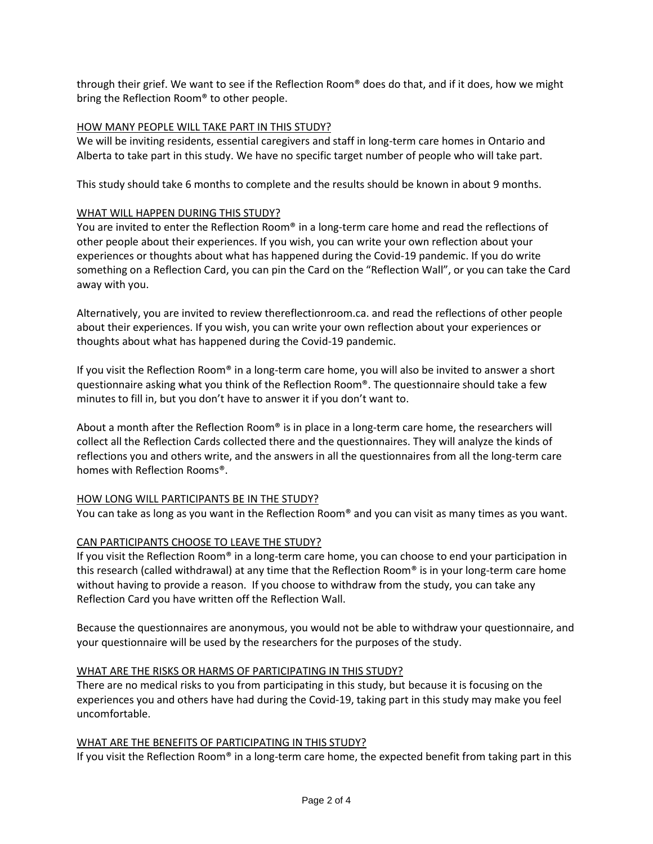through their grief. We want to see if the Reflection Room® does do that, and if it does, how we might bring the Reflection Room® to other people.

#### HOW MANY PEOPLE WILL TAKE PART IN THIS STUDY?

We will be inviting residents, essential caregivers and staff in long-term care homes in Ontario and Alberta to take part in this study. We have no specific target number of people who will take part.

This study should take 6 months to complete and the results should be known in about 9 months.

# WHAT WILL HAPPEN DURING THIS STUDY?

You are invited to enter the Reflection Room® in a long-term care home and read the reflections of other people about their experiences. If you wish, you can write your own reflection about your experiences or thoughts about what has happened during the Covid-19 pandemic. If you do write something on a Reflection Card, you can pin the Card on the "Reflection Wall", or you can take the Card away with you.

Alternatively, you are invited to review thereflectionroom.ca. and read the reflections of other people about their experiences. If you wish, you can write your own reflection about your experiences or thoughts about what has happened during the Covid-19 pandemic.

If you visit the Reflection Room® in a long-term care home, you will also be invited to answer a short questionnaire asking what you think of the Reflection Room®. The questionnaire should take a few minutes to fill in, but you don't have to answer it if you don't want to.

About a month after the Reflection Room® is in place in a long-term care home, the researchers will collect all the Reflection Cards collected there and the questionnaires. They will analyze the kinds of reflections you and others write, and the answers in all the questionnaires from all the long-term care homes with Reflection Rooms®.

#### HOW LONG WILL PARTICIPANTS BE IN THE STUDY?

You can take as long as you want in the Reflection Room® and you can visit as many times as you want.

# CAN PARTICIPANTS CHOOSE TO LEAVE THE STUDY?

If you visit the Reflection Room® in a long-term care home, you can choose to end your participation in this research (called withdrawal) at any time that the Reflection Room® is in your long-term care home without having to provide a reason. If you choose to withdraw from the study, you can take any Reflection Card you have written off the Reflection Wall.

Because the questionnaires are anonymous, you would not be able to withdraw your questionnaire, and your questionnaire will be used by the researchers for the purposes of the study.

#### WHAT ARE THE RISKS OR HARMS OF PARTICIPATING IN THIS STUDY?

There are no medical risks to you from participating in this study, but because it is focusing on the experiences you and others have had during the Covid-19, taking part in this study may make you feel uncomfortable.

#### WHAT ARE THE BENEFITS OF PARTICIPATING IN THIS STUDY?

If you visit the Reflection Room® in a long-term care home, the expected benefit from taking part in this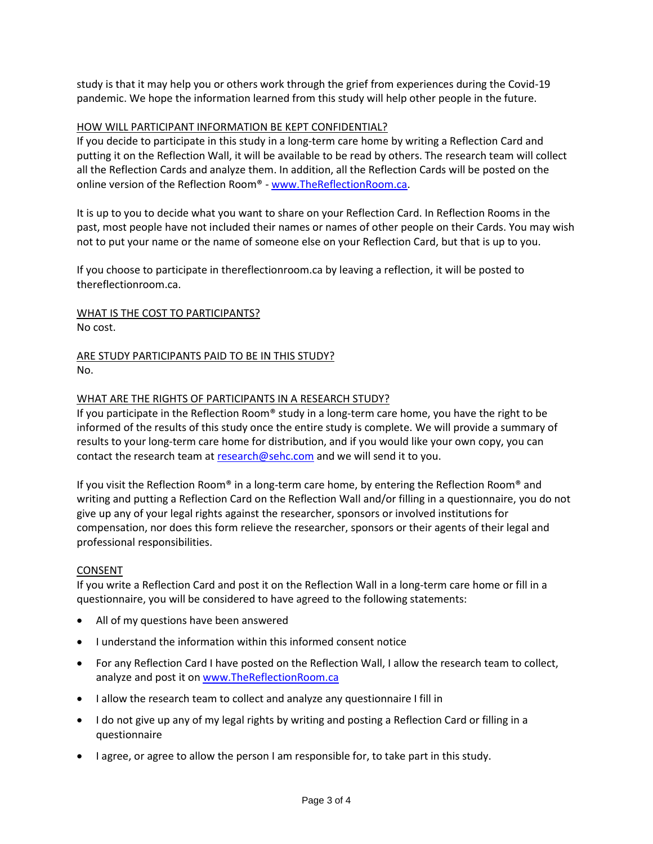study is that it may help you or others work through the grief from experiences during the Covid-19 pandemic. We hope the information learned from this study will help other people in the future.

#### HOW WILL PARTICIPANT INFORMATION BE KEPT CONFIDENTIAL?

If you decide to participate in this study in a long-term care home by writing a Reflection Card and putting it on the Reflection Wall, it will be available to be read by others. The research team will collect all the Reflection Cards and analyze them. In addition, all the Reflection Cards will be posted on the online version of the Reflection Room® - [www.TheReflectionRoom.ca.](http://www.thereflectionroom.ca/)

It is up to you to decide what you want to share on your Reflection Card. In Reflection Rooms in the past, most people have not included their names or names of other people on their Cards. You may wish not to put your name or the name of someone else on your Reflection Card, but that is up to you.

If you choose to participate in thereflectionroom.ca by leaving a reflection, it will be posted to thereflectionroom.ca.

WHAT IS THE COST TO PARTICIPANTS? No cost.

# ARE STUDY PARTICIPANTS PAID TO BE IN THIS STUDY? No.

# WHAT ARE THE RIGHTS OF PARTICIPANTS IN A RESEARCH STUDY?

If you participate in the Reflection Room® study in a long-term care home, you have the right to be informed of the results of this study once the entire study is complete. We will provide a summary of results to your long-term care home for distribution, and if you would like your own copy, you can contact the research team a[t research@sehc.com](mailto:research@sehc.com) and we will send it to you.

If you visit the Reflection Room® in a long-term care home, by entering the Reflection Room® and writing and putting a Reflection Card on the Reflection Wall and/or filling in a questionnaire, you do not give up any of your legal rights against the researcher, sponsors or involved institutions for compensation, nor does this form relieve the researcher, sponsors or their agents of their legal and professional responsibilities.

#### CONSENT

If you write a Reflection Card and post it on the Reflection Wall in a long-term care home or fill in a questionnaire, you will be considered to have agreed to the following statements:

- All of my questions have been answered
- I understand the information within this informed consent notice
- For any Reflection Card I have posted on the Reflection Wall, I allow the research team to collect, analyze and post it on [www.TheReflectionRoom.ca](http://www.thereflectionroom.ca/)
- I allow the research team to collect and analyze any questionnaire I fill in
- I do not give up any of my legal rights by writing and posting a Reflection Card or filling in a questionnaire
- I agree, or agree to allow the person I am responsible for, to take part in this study.